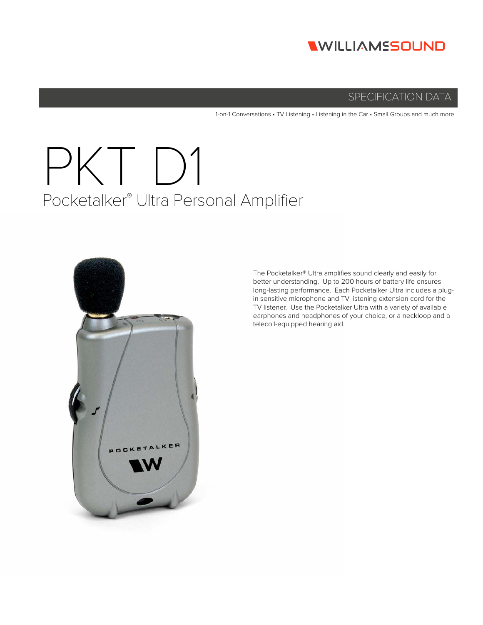

# SPECIFICATION DATA

1-on-1 Conversations • TV Listening • Listening in the Car • Small Groups and much more

# PKT D1 Pocketalker® Ultra Personal Amplifier



The Pocketalker® Ultra amplifies sound clearly and easily for better understanding. Up to 200 hours of battery life ensures long-lasting performance. Each Pocketalker Ultra includes a plugin sensitive microphone and TV listening extension cord for the TV listener. Use the Pocketalker Ultra with a variety of available earphones and headphones of your choice, or a neckloop and a telecoil-equipped hearing aid.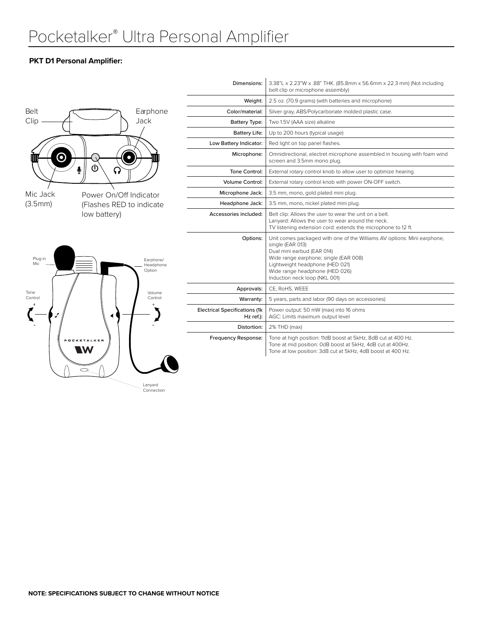## **PKT D1 Personal Amplifier:**

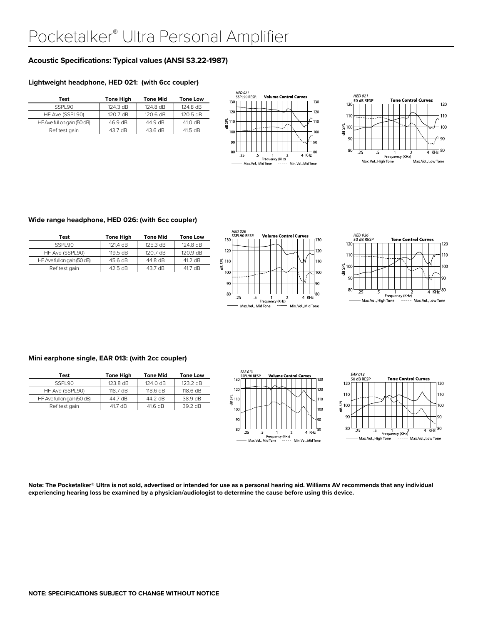## **Acoustic Specifications: Typical values (ANSI S3.22-1987)**

### **Lightweight headphone, HED 021: (with 6cc coupler)**

| Test                        | <b>Tone High</b> | <b>Tone Mid</b> | <b>Tone Low</b> |
|-----------------------------|------------------|-----------------|-----------------|
| SSPI 90                     | 124.3 dB         | 124.8 dB        | 124.8 dB        |
| HF Ave (SSPL90)             | 120.7 dB         | 120.6 dB        | 120.5 dB        |
| HF Ave full on gain (50 dB) | 46.9 dB          | 44.9 dB         | 41.0 dB         |
| Ref test gain               | 43.7 dB          | 43.6 dB         | 41.5 dB         |





#### **Wide range headphone, HED 026: (with 6cc coupler)**

| Test                        | <b>Tone High</b>   | <b>Tone Mid</b>    | <b>Tone Low</b> |
|-----------------------------|--------------------|--------------------|-----------------|
| SSPI 90                     | 121.4 dB           | $125.3 \text{ dB}$ | 124.8 dB        |
| HF Ave (SSPL90)             | $119.5 \text{ dB}$ | $120.7 \text{ dB}$ | 120.9 dB        |
| HF Ave full on gain (50 dB) | 45.6 dB            | 44.8 dB            | 41.2 dB         |
| Ref test gain               | 42.5 dB            | 43.7 dB            | 41.7 dB         |





#### **Mini earphone single, EAR 013: (with 2cc coupler)**

| Test                        | <b>Tone High</b>   | <b>Tone Mid</b> | <b>Tone Low</b> |
|-----------------------------|--------------------|-----------------|-----------------|
| SSPI 90                     | 123.8 dB           | 124.0 dB        | 123.2 dB        |
| HF Ave (SSPL90)             | $118.7 \text{ dB}$ | 118.6 dB        | 118.6 dB        |
| HF Ave full on gain (50 dB) | 44.7 dB            | 44.2 dB         | 38.9 dB         |
| Ref test gain               | 41.7 dB            | 41.6 dB         | 39.2 dB         |





**Note: The Pocketalker® Ultra is not sold, advertised or intended for use as a personal hearing aid. Williams AV recommends that any individual experiencing hearing loss be examined by a physician/audiologist to determine the cause before using this device.**